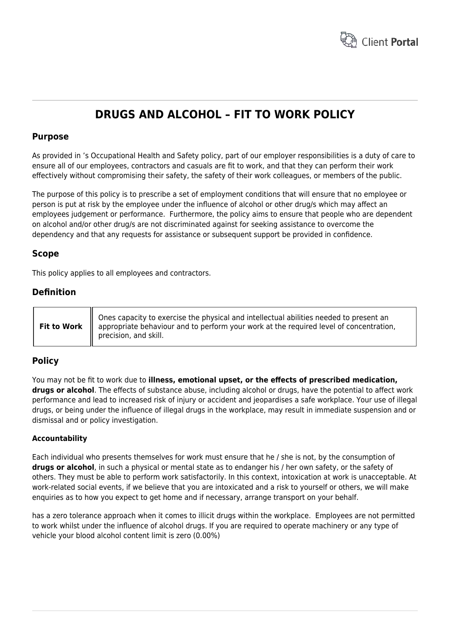

# **DRUGS AND ALCOHOL – FIT TO WORK POLICY**

## **Purpose**

As provided in 's Occupational Health and Safety policy, part of our employer responsibilities is a duty of care to ensure all of our employees, contractors and casuals are fit to work, and that they can perform their work effectively without compromising their safety, the safety of their work colleagues, or members of the public.

The purpose of this policy is to prescribe a set of employment conditions that will ensure that no employee or person is put at risk by the employee under the influence of alcohol or other drug/s which may affect an employees judgement or performance. Furthermore, the policy aims to ensure that people who are dependent on alcohol and/or other drug/s are not discriminated against for seeking assistance to overcome the dependency and that any requests for assistance or subsequent support be provided in confidence.

# **Scope**

This policy applies to all employees and contractors.

## **Definition**

# **Policy**

You may not be fit to work due to **illness, emotional upset, or the effects of prescribed medication, drugs or alcohol**. The effects of substance abuse, including alcohol or drugs, have the potential to affect work performance and lead to increased risk of injury or accident and jeopardises a safe workplace. Your use of illegal drugs, or being under the influence of illegal drugs in the workplace, may result in immediate suspension and or dismissal and or policy investigation.

### **Accountability**

Each individual who presents themselves for work must ensure that he / she is not, by the consumption of **drugs or alcohol**, in such a physical or mental state as to endanger his / her own safety, or the safety of others. They must be able to perform work satisfactorily. In this context, intoxication at work is unacceptable. At work-related social events, if we believe that you are intoxicated and a risk to yourself or others, we will make enquiries as to how you expect to get home and if necessary, arrange transport on your behalf.

has a zero tolerance approach when it comes to illicit drugs within the workplace. Employees are not permitted to work whilst under the influence of alcohol drugs. If you are required to operate machinery or any type of vehicle your blood alcohol content limit is zero (0.00%)